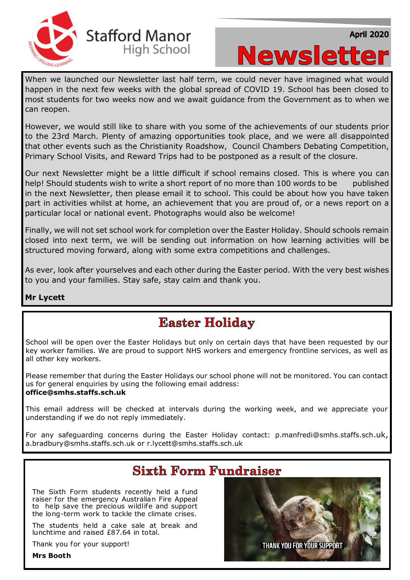



When we launched our Newsletter last half term, we could never have imagined what would happen in the next few weeks with the global spread of COVID 19. School has been closed to most students for two weeks now and we await guidance from the Government as to when we can reopen.

However, we would still like to share with you some of the achievements of our students prior to the 23rd March. Plenty of amazing opportunities took place, and we were all disappointed that other events such as the Christianity Roadshow, Council Chambers Debating Competition, Primary School Visits, and Reward Trips had to be postponed as a result of the closure.

Our next Newsletter might be a little difficult if school remains closed. This is where you can help! Should students wish to write a short report of no more than 100 words to be published in the next Newsletter, then please email it to school. This could be about how you have taken part in activities whilst at home, an achievement that you are proud of, or a news report on a particular local or national event. Photographs would also be welcome!

Finally, we will not set school work for completion over the Easter Holiday. Should schools remain closed into next term, we will be sending out information on how learning activities will be structured moving forward, along with some extra competitions and challenges.

As ever, look after yourselves and each other during the Easter period. With the very best wishes to you and your families. Stay safe, stay calm and thank you.

#### **Mr Lycett**

### **Easter Holiday**

School will be open over the Easter Holidays but only on certain days that have been requested by our key worker families. We are proud to support NHS workers and emergency frontline services, as well as all other key workers.

Please remember that during the Easter Holidays our school phone will not be monitored. You can contact us for general enquiries by using the following email address: **office@smhs.staffs.sch.uk**

This email address will be checked at intervals during the working week, and we appreciate your understanding if we do not reply immediately.

For any safeguarding concerns during the Easter Holiday contact: p.manfredi@smhs.staffs.sch.uk, a.bradbury@smhs.staffs.sch.uk or r.lycett@smhs.staffs.sch.uk

# **Sixth Form Fundraiser**

The Sixth Form students recently held a fund raiser for the emergency Australian Fire Appeal to help save the precious wildlife and support the long-term work to tackle the climate crises.

The students held a cake sale at break and lunchtime and raised £87.64 in total.

Thank you for your support!

**Mrs Booth** 

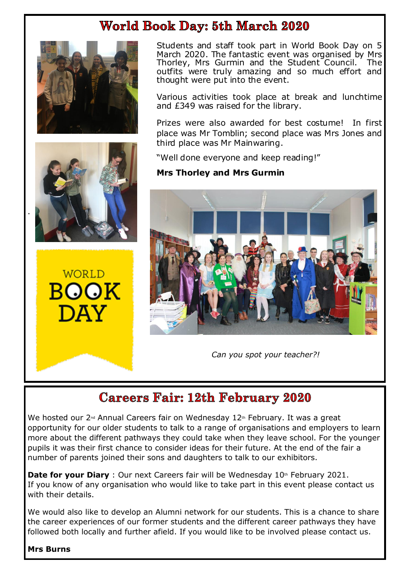### **World Book Day: 5th March 2020**





WORLD BOOK DAV

Students and staff took part in World Book Day on 5 March 2020. The fantastic event was organised by Mrs Thorley, Mrs Gurmin and the Student Council. The outfits were truly amazing and so much effort and thought were put into the event.

Various activities took place at break and lunchtime and £349 was raised for the library.

Prizes were also awarded for best costume! In first place was Mr Tomblin; second place was Mrs Jones and third place was Mr Mainwaring.

"Well done everyone and keep reading!"

#### **Mrs Thorley and Mrs Gurmin**



*Can you spot your teacher?!*

# **Careers Fair: 12th February 2020**

We hosted our 2<sup>nd</sup> Annual Careers fair on Wednesday 12<sup>th</sup> February. It was a great opportunity for our older students to talk to a range of organisations and employers to learn more about the different pathways they could take when they leave school. For the younger pupils it was their first chance to consider ideas for their future. At the end of the fair a number of parents joined their sons and daughters to talk to our exhibitors.

**Date for your Diary** : Our next Careers fair will be Wednesday 10th February 2021. If you know of any organisation who would like to take part in this event please contact us with their details.

We would also like to develop an Alumni network for our students. This is a chance to share the career experiences of our former students and the different career pathways they have followed both locally and further afield. If you would like to be involved please contact us.

#### **Mrs Burns**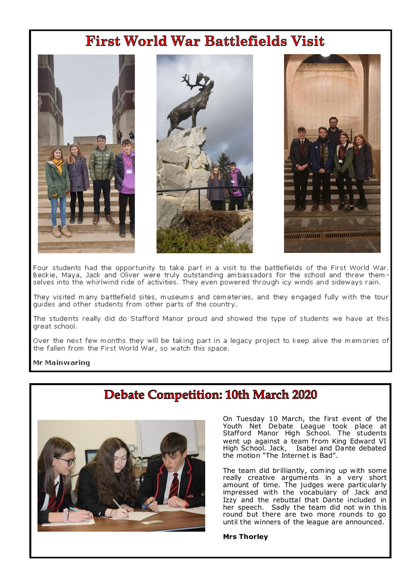# **First World War Battlefields Visit**



Four students had the opportunity to take part in a visit to the battlefields of the First World War. Beckie, Maya, Jack and Oliver were truly outstanding ambassadors for the school and threw them-<br>selves into the whirlwind ride of activities. They even powered through icy winds and sideways rain.

They visited many battlefield sites, museums and cemeteries, and they engaged fully with the tour guides and other students from other parts of the country.

The students really did do Stafford Manor proud and showed the type of students we have at this great school.

Over the next few months they will be taking part in a legacy project to keep alive the memories of the fallen from the First World War, so watch this space.

#### Mr Mainwaring

### **Debate Competition: 10th March 2020**



On Tuesday 10 March, the first event of the<br>Youth Net Debate League took place at Stafford Manor High School. The students went up against a team from King Edward VI High School. Jack, Isabel and Dante debated the motion "The Internet is Bad".

The team did brilliantly, coming up with some really creative arguments in a very short amount of time. The judges were particularly<br>impressed with the vocabulary of Jack and Izzy and the rebuttal that Dante included in her speech. Sadly the team did not win this round but there are two more rounds to go until the winners of the league are announced.

#### **Mrs Thorley**